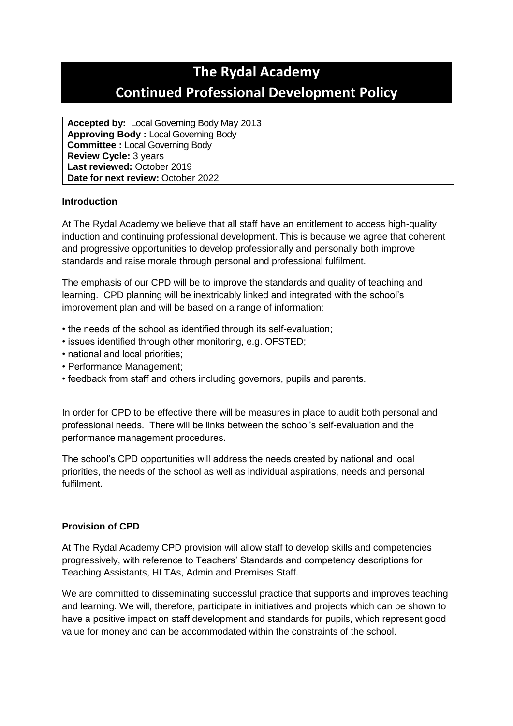# **The Rydal Academy Continued Professional Development Policy**

**Accepted by:** Local Governing Body May 2013 **Approving Body :** Local Governing Body **Committee :** Local Governing Body **Review Cycle:** 3 years **Last reviewed:** October 2019 **Date for next review:** October 2022

# **Introduction**

At The Rydal Academy we believe that all staff have an entitlement to access high-quality induction and continuing professional development. This is because we agree that coherent and progressive opportunities to develop professionally and personally both improve standards and raise morale through personal and professional fulfilment.

The emphasis of our CPD will be to improve the standards and quality of teaching and learning. CPD planning will be inextricably linked and integrated with the school's improvement plan and will be based on a range of information:

- the needs of the school as identified through its self-evaluation;
- issues identified through other monitoring, e.g. OFSTED;
- national and local priorities;
- Performance Management;
- feedback from staff and others including governors, pupils and parents.

In order for CPD to be effective there will be measures in place to audit both personal and professional needs. There will be links between the school's self-evaluation and the performance management procedures.

The school's CPD opportunities will address the needs created by national and local priorities, the needs of the school as well as individual aspirations, needs and personal fulfilment.

#### **Provision of CPD**

At The Rydal Academy CPD provision will allow staff to develop skills and competencies progressively, with reference to Teachers' Standards and competency descriptions for Teaching Assistants, HLTAs, Admin and Premises Staff.

We are committed to disseminating successful practice that supports and improves teaching and learning. We will, therefore, participate in initiatives and projects which can be shown to have a positive impact on staff development and standards for pupils, which represent good value for money and can be accommodated within the constraints of the school.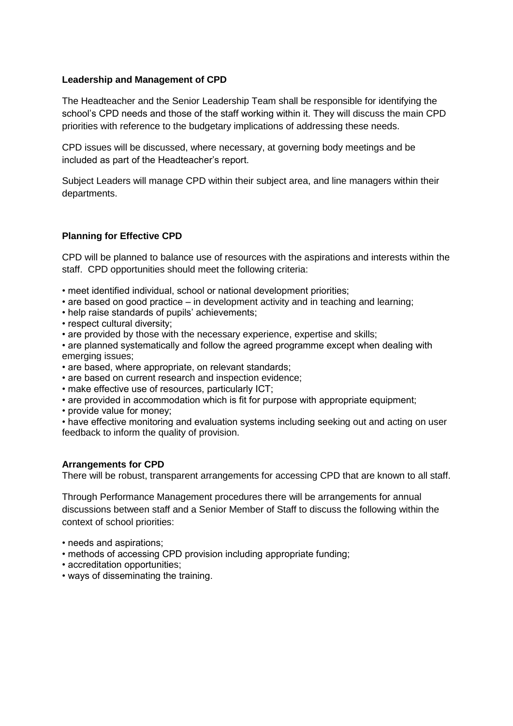#### **Leadership and Management of CPD**

The Headteacher and the Senior Leadership Team shall be responsible for identifying the school's CPD needs and those of the staff working within it. They will discuss the main CPD priorities with reference to the budgetary implications of addressing these needs.

CPD issues will be discussed, where necessary, at governing body meetings and be included as part of the Headteacher's report.

Subject Leaders will manage CPD within their subject area, and line managers within their departments.

# **Planning for Effective CPD**

CPD will be planned to balance use of resources with the aspirations and interests within the staff. CPD opportunities should meet the following criteria:

- meet identified individual, school or national development priorities;
- are based on good practice in development activity and in teaching and learning;
- help raise standards of pupils' achievements;
- respect cultural diversity;
- are provided by those with the necessary experience, expertise and skills;

• are planned systematically and follow the agreed programme except when dealing with emerging issues;

- are based, where appropriate, on relevant standards;
- are based on current research and inspection evidence;
- make effective use of resources, particularly ICT;
- are provided in accommodation which is fit for purpose with appropriate equipment;
- provide value for money;

• have effective monitoring and evaluation systems including seeking out and acting on user feedback to inform the quality of provision.

#### **Arrangements for CPD**

There will be robust, transparent arrangements for accessing CPD that are known to all staff.

Through Performance Management procedures there will be arrangements for annual discussions between staff and a Senior Member of Staff to discuss the following within the context of school priorities:

- needs and aspirations;
- methods of accessing CPD provision including appropriate funding;
- accreditation opportunities;
- ways of disseminating the training.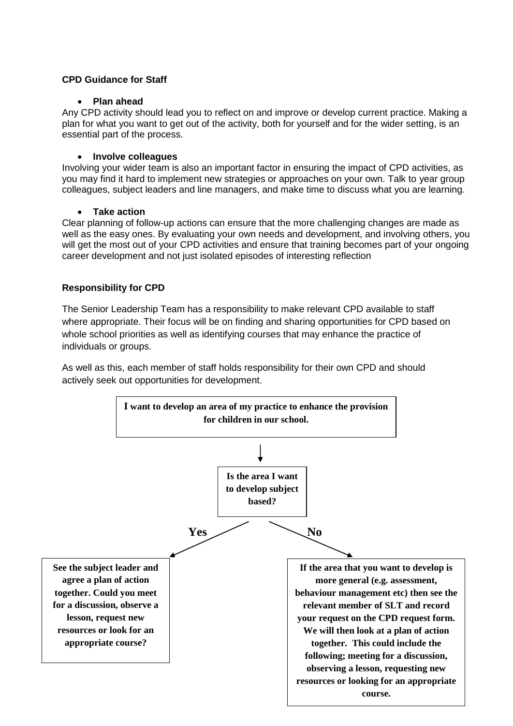# **CPD Guidance for Staff**

### **Plan ahead**

Any CPD activity should lead you to reflect on and improve or develop current practice. Making a plan for what you want to get out of the activity, both for yourself and for the wider setting, is an essential part of the process.

# **Involve colleagues**

Involving your wider team is also an important factor in ensuring the impact of CPD activities, as you may find it hard to implement new strategies or approaches on your own. Talk to year group colleagues, subject leaders and line managers, and make time to discuss what you are learning.

#### **Take action**

Clear planning of follow-up actions can ensure that the more challenging changes are made as well as the easy ones. By evaluating your own needs and development, and involving others, you will get the most out of your CPD activities and ensure that training becomes part of your ongoing career development and not just isolated episodes of interesting reflection

# **Responsibility for CPD**

The Senior Leadership Team has a responsibility to make relevant CPD available to staff where appropriate. Their focus will be on finding and sharing opportunities for CPD based on whole school priorities as well as identifying courses that may enhance the practice of individuals or groups.

As well as this, each member of staff holds responsibility for their own CPD and should actively seek out opportunities for development.